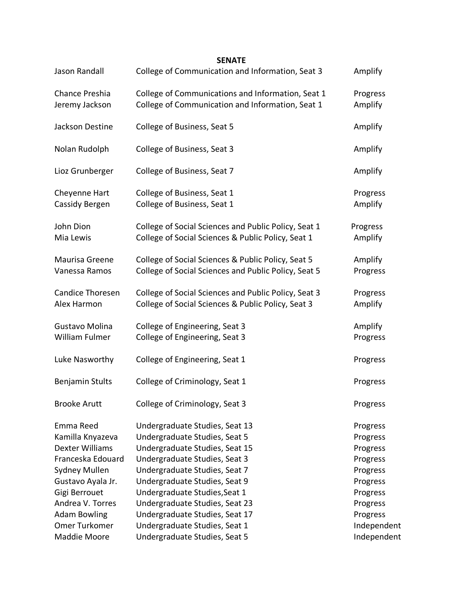| Jason Randall                          | College of Communication and Information, Seat 3                                                           | Amplify              |
|----------------------------------------|------------------------------------------------------------------------------------------------------------|----------------------|
| Chance Preshia<br>Jeremy Jackson       | College of Communications and Information, Seat 1<br>College of Communication and Information, Seat 1      | Progress<br>Amplify  |
| Jackson Destine                        | College of Business, Seat 5                                                                                | Amplify              |
| Nolan Rudolph                          | College of Business, Seat 3                                                                                | Amplify              |
| Lioz Grunberger                        | College of Business, Seat 7                                                                                | Amplify              |
| Cheyenne Hart<br>Cassidy Bergen        | College of Business, Seat 1<br>College of Business, Seat 1                                                 | Progress<br>Amplify  |
| John Dion<br>Mia Lewis                 | College of Social Sciences and Public Policy, Seat 1<br>College of Social Sciences & Public Policy, Seat 1 | Progress<br>Amplify  |
| Maurisa Greene<br>Vanessa Ramos        | College of Social Sciences & Public Policy, Seat 5<br>College of Social Sciences and Public Policy, Seat 5 | Amplify<br>Progress  |
| <b>Candice Thoresen</b><br>Alex Harmon | College of Social Sciences and Public Policy, Seat 3<br>College of Social Sciences & Public Policy, Seat 3 | Progress<br>Amplify  |
| Gustavo Molina<br>William Fulmer       | College of Engineering, Seat 3<br>College of Engineering, Seat 3                                           | Amplify<br>Progress  |
| Luke Nasworthy                         | College of Engineering, Seat 1                                                                             | Progress             |
| <b>Benjamin Stults</b>                 | College of Criminology, Seat 1                                                                             | Progress             |
| <b>Brooke Arutt</b>                    | College of Criminology, Seat 3                                                                             | Progress             |
| Emma Reed<br>Kamilla Knyazeva          | Undergraduate Studies, Seat 13<br>Undergraduate Studies, Seat 5                                            | Progress<br>Progress |
| <b>Dexter Williams</b>                 | Undergraduate Studies, Seat 15                                                                             | Progress             |
| Franceska Edouard                      | Undergraduate Studies, Seat 3                                                                              | Progress             |
| <b>Sydney Mullen</b>                   | Undergraduate Studies, Seat 7                                                                              | Progress             |
| Gustavo Ayala Jr.                      | Undergraduate Studies, Seat 9                                                                              | Progress             |
| Gigi Berrouet                          | Undergraduate Studies, Seat 1                                                                              | Progress             |
| Andrea V. Torres                       | Undergraduate Studies, Seat 23                                                                             | Progress             |
| <b>Adam Bowling</b>                    | Undergraduate Studies, Seat 17                                                                             | Progress             |
| Omer Turkomer                          | Undergraduate Studies, Seat 1                                                                              | Independent          |
| Maddie Moore                           | Undergraduate Studies, Seat 5                                                                              | Independent          |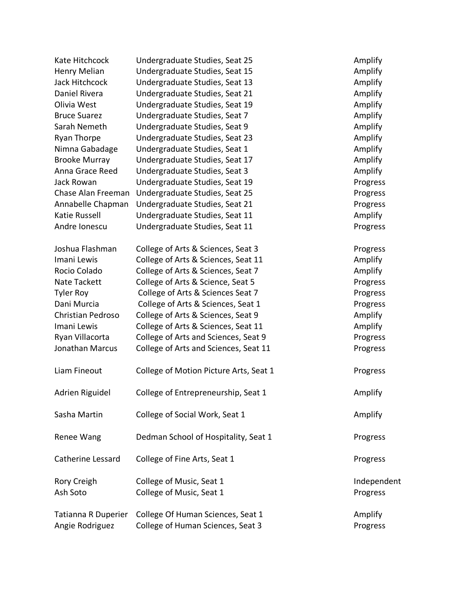| Kate Hitchcock       | Undergraduate Studies, Seat 25         | Amplify     |
|----------------------|----------------------------------------|-------------|
| Henry Melian         | Undergraduate Studies, Seat 15         | Amplify     |
| Jack Hitchcock       | Undergraduate Studies, Seat 13         | Amplify     |
| <b>Daniel Rivera</b> | Undergraduate Studies, Seat 21         | Amplify     |
| Olivia West          | Undergraduate Studies, Seat 19         | Amplify     |
| <b>Bruce Suarez</b>  | Undergraduate Studies, Seat 7          | Amplify     |
| Sarah Nemeth         | Undergraduate Studies, Seat 9          | Amplify     |
| <b>Ryan Thorpe</b>   | Undergraduate Studies, Seat 23         | Amplify     |
| Nimna Gabadage       | Undergraduate Studies, Seat 1          | Amplify     |
| <b>Brooke Murray</b> | Undergraduate Studies, Seat 17         | Amplify     |
| Anna Grace Reed      | Undergraduate Studies, Seat 3          | Amplify     |
| Jack Rowan           | Undergraduate Studies, Seat 19         | Progress    |
| Chase Alan Freeman   | Undergraduate Studies, Seat 25         | Progress    |
| Annabelle Chapman    | Undergraduate Studies, Seat 21         | Progress    |
| Katie Russell        | Undergraduate Studies, Seat 11         | Amplify     |
| Andre Ionescu        | Undergraduate Studies, Seat 11         | Progress    |
| Joshua Flashman      | College of Arts & Sciences, Seat 3     | Progress    |
| Imani Lewis          | College of Arts & Sciences, Seat 11    | Amplify     |
| Rocio Colado         | College of Arts & Sciences, Seat 7     | Amplify     |
| Nate Tackett         | College of Arts & Science, Seat 5      | Progress    |
| <b>Tyler Roy</b>     | College of Arts & Sciences Seat 7      | Progress    |
| Dani Murcia          | College of Arts & Sciences, Seat 1     | Progress    |
| Christian Pedroso    | College of Arts & Sciences, Seat 9     | Amplify     |
| Imani Lewis          | College of Arts & Sciences, Seat 11    | Amplify     |
| Ryan Villacorta      | College of Arts and Sciences, Seat 9   | Progress    |
| Jonathan Marcus      | College of Arts and Sciences, Seat 11  | Progress    |
| Liam Fineout         | College of Motion Picture Arts, Seat 1 | Progress    |
| Adrien Riguidel      | College of Entrepreneurship, Seat 1    | Amplify     |
| Sasha Martin         | College of Social Work, Seat 1         | Amplify     |
| Renee Wang           | Dedman School of Hospitality, Seat 1   | Progress    |
| Catherine Lessard    | College of Fine Arts, Seat 1           | Progress    |
| Rory Creigh          | College of Music, Seat 1               | Independent |
| Ash Soto             | College of Music, Seat 1               | Progress    |
| Tatianna R Duperier  | College Of Human Sciences, Seat 1      | Amplify     |
| Angie Rodriguez      | College of Human Sciences, Seat 3      | Progress    |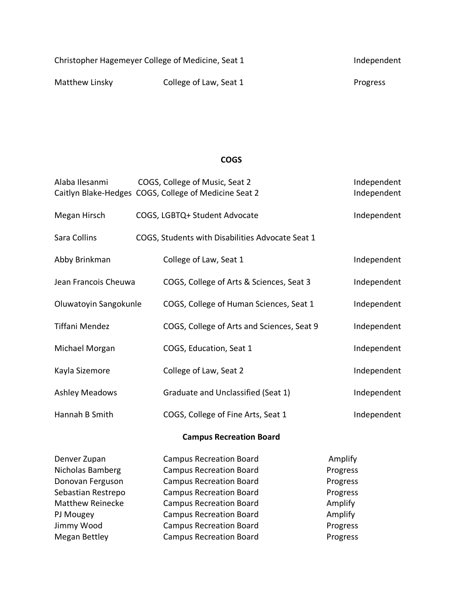| Christopher Hagemeyer College of Medicine, Seat 1 | Independent            |          |
|---------------------------------------------------|------------------------|----------|
| Matthew Linsky                                    | College of Law, Seat 1 | Progress |

## **COGS**

| Alaba Ilesanmi                 |  | COGS, College of Music, Seat 2<br>Caitlyn Blake-Hedges COGS, College of Medicine Seat 2 | Independent<br>Independent |  |  |  |
|--------------------------------|--|-----------------------------------------------------------------------------------------|----------------------------|--|--|--|
| Megan Hirsch                   |  | COGS, LGBTQ+ Student Advocate                                                           | Independent                |  |  |  |
| Sara Collins                   |  | COGS, Students with Disabilities Advocate Seat 1                                        |                            |  |  |  |
| Abby Brinkman                  |  | College of Law, Seat 1                                                                  | Independent                |  |  |  |
| Jean Francois Cheuwa           |  | Independent<br>COGS, College of Arts & Sciences, Seat 3                                 |                            |  |  |  |
| Oluwatoyin Sangokunle          |  | COGS, College of Human Sciences, Seat 1                                                 | Independent                |  |  |  |
| <b>Tiffani Mendez</b>          |  | COGS, College of Arts and Sciences, Seat 9                                              | Independent                |  |  |  |
| Michael Morgan                 |  | COGS, Education, Seat 1                                                                 | Independent                |  |  |  |
| Kayla Sizemore                 |  | College of Law, Seat 2                                                                  | Independent                |  |  |  |
| <b>Ashley Meadows</b>          |  | Graduate and Unclassified (Seat 1)                                                      | Independent                |  |  |  |
| Hannah B Smith                 |  | COGS, College of Fine Arts, Seat 1                                                      | Independent                |  |  |  |
| <b>Campus Recreation Board</b> |  |                                                                                         |                            |  |  |  |
| Denver Zupan                   |  | <b>Campus Recreation Board</b>                                                          | Amplify                    |  |  |  |
| Nicholas Bamberg               |  | <b>Campus Recreation Board</b>                                                          | Progress                   |  |  |  |
| Donovan Ferguson               |  | <b>Campus Recreation Board</b>                                                          | Progress                   |  |  |  |
| Sebastian Restrepo             |  | <b>Campus Recreation Board</b>                                                          | Progress                   |  |  |  |
| <b>Matthew Reinecke</b>        |  | <b>Campus Recreation Board</b>                                                          | Amplify                    |  |  |  |
| PJ Mougey                      |  | <b>Campus Recreation Board</b>                                                          | Amplify                    |  |  |  |
| Jimmy Wood                     |  | <b>Campus Recreation Board</b>                                                          | Progress                   |  |  |  |

Megan Bettley **Campus Recreation Board** Progress